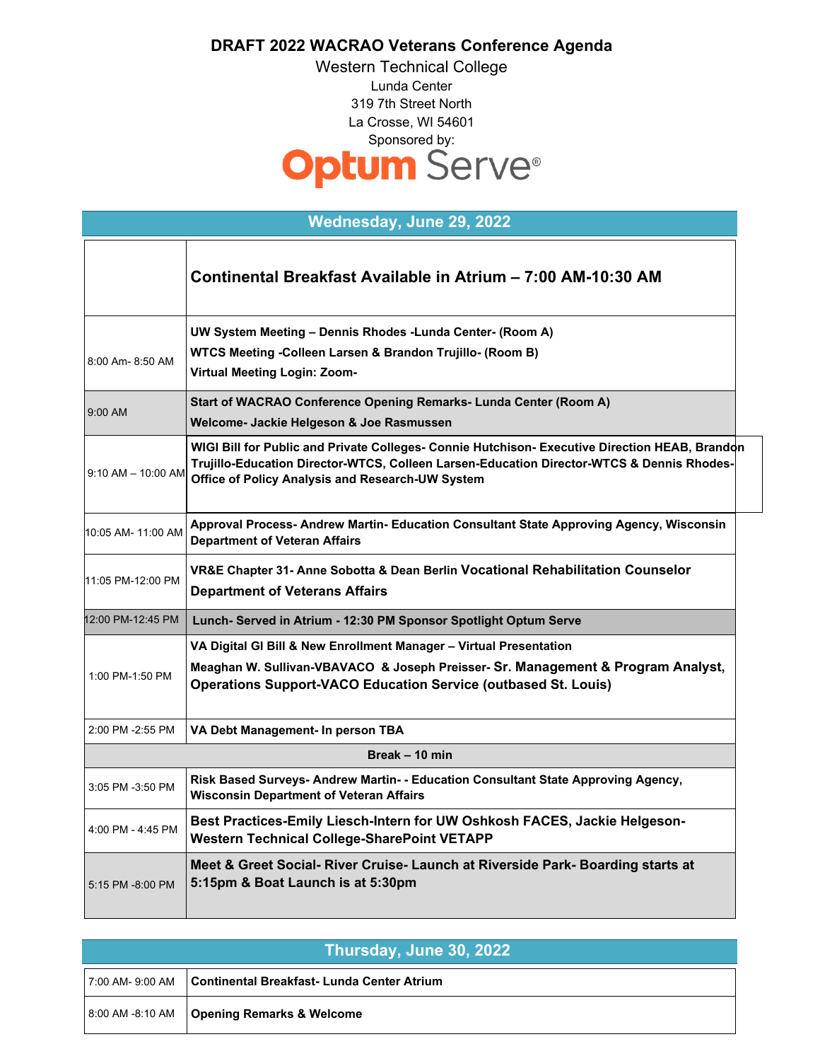## **DRAFT 2022 WACRAO Veterans Conference Agenda**

Western Technical College Lunda Center 319 7th Street North La Crosse, WI 54601 Sponsored by:<br> **Optum** Serve®

| Wednesday, June 29, 2022 |                                                                                                                                                                                                                                                 |  |
|--------------------------|-------------------------------------------------------------------------------------------------------------------------------------------------------------------------------------------------------------------------------------------------|--|
|                          | Continental Breakfast Available in Atrium - 7:00 AM-10:30 AM                                                                                                                                                                                    |  |
| 8:00 Am- 8:50 AM         | UW System Meeting - Dennis Rhodes - Lunda Center- (Room A)<br>WTCS Meeting -Colleen Larsen & Brandon Trujillo- (Room B)<br>Virtual Meeting Login: Zoom-                                                                                         |  |
| 9:00 AM                  | Start of WACRAO Conference Opening Remarks- Lunda Center (Room A)<br>Welcome- Jackie Helgeson & Joe Rasmussen                                                                                                                                   |  |
| $9:10$ AM $-$ 10:00 AM   | WIGI Bill for Public and Private Colleges- Connie Hutchison- Executive Direction HEAB, Brandon<br>Trujillo-Education Director-WTCS, Colleen Larsen-Education Director-WTCS & Dennis Rhodes-<br>Office of Policy Analysis and Research-UW System |  |
| 10:05 AM- 11:00 AM       | Approval Process- Andrew Martin- Education Consultant State Approving Agency, Wisconsin<br><b>Department of Veteran Affairs</b>                                                                                                                 |  |
| 11:05 PM-12:00 PM        | VR&E Chapter 31- Anne Sobotta & Dean Berlin Vocational Rehabilitation Counselor<br><b>Department of Veterans Affairs</b>                                                                                                                        |  |
| 12:00 PM-12:45 PM        | Lunch- Served in Atrium - 12:30 PM Sponsor Spotlight Optum Serve                                                                                                                                                                                |  |
| 1:00 PM-1:50 PM          | VA Digital GI Bill & New Enrollment Manager - Virtual Presentation<br>Meaghan W. Sullivan-VBAVACO & Joseph Preisser- Sr. Management & Program Analyst,<br><b>Operations Support-VACO Education Service (outbased St. Louis)</b>                 |  |
| 2:00 PM -2:55 PM         | VA Debt Management- In person TBA                                                                                                                                                                                                               |  |
| Break - 10 min           |                                                                                                                                                                                                                                                 |  |
| 3:05 PM -3:50 PM         | Risk Based Surveys- Andrew Martin- - Education Consultant State Approving Agency,<br><b>Wisconsin Department of Veteran Affairs</b>                                                                                                             |  |
| 4:00 PM - 4:45 PM        | Best Practices-Emily Liesch-Intern for UW Oshkosh FACES, Jackie Helgeson-<br><b>Western Technical College-SharePoint VETAPP</b>                                                                                                                 |  |
| 5:15 PM -8:00 PM         | Meet & Greet Social- River Cruise- Launch at Riverside Park- Boarding starts at<br>5:15pm & Boat Launch is at 5:30pm                                                                                                                            |  |

| Thursday, June 30, 2022 |                                              |  |
|-------------------------|----------------------------------------------|--|
| l 7:00 AM- 9:00 AM      | Continental Breakfast- Lunda Center Atrium   |  |
|                         | 8:00 AM -8:10 AM   Opening Remarks & Welcome |  |